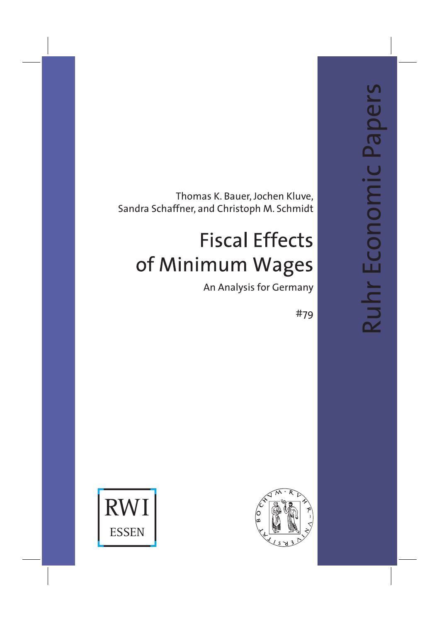Ruhr Economic Papers Ruhr Economic Papers

Thomas K. Bauer, Jochen Kluve, Sandra Schaffner, and Christoph M. Schmidt

# **Fiscal Effects** of Minimum Wages

An Analysis for Germany

#79



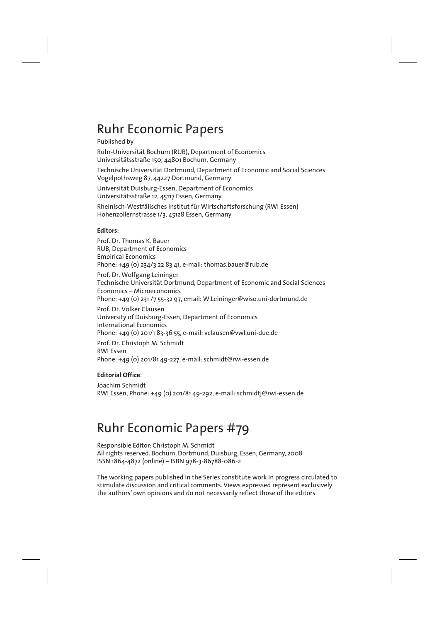## Ruhr Economic Papers

## Published by

Ruhr-Universität Bochum (RUB), Department of Economics Universitätsstraße 150, 44801 Bochum, Germany Technische Universität Dortmund, Department of Economic and Social Sciences Vogelpothsweg 87, 44227 Dortmund, Germany Universität Duisburg-Essen, Department of Economics Universitätsstraße 12, 45117 Essen, Germany Rheinisch-Westfälisches Institut für Wirtschaftsforschung (RWI Essen) Hohenzollernstrasse 1/3, 45128 Essen, Germany

### **Editors**:

Prof. Dr. Thomas K. Bauer RUB, Department of Economics Empirical Economics Phone: +49 (0) 234/3 22 83 41, e-mail: thomas.bauer@rub.de

Prof. Dr. Wolfgang Leininger Technische Universität Dortmund, Department of Economic and Social Sciences Economics – Microeconomics Phone: +49 (0) 231 /7 55-32 97, email: W.Leininger@wiso.uni-dortmund.de

Prof. Dr. Volker Clausen University of Duisburg-Essen, Department of Economics International Economics Phone: +49 (0) 201/1 83-36 55, e-mail: vclausen@vwl.uni-due.de

Prof. Dr. Christoph M. Schmidt RWI Essen Phone: +49 (0) 201/81 49-227, e-mail: schmidt@rwi-essen.de

### **Editorial Office**:

Joachim Schmidt RWI Essen, Phone: +49 (0) 201/81 49-292, e-mail: schmidtj@rwi-essen.de

## Ruhr Economic Papers #79

Responsible Editor: Christoph M. Schmidt All rights reserved. Bochum, Dortmund, Duisburg, Essen, Germany, 2008 ISSN 1864-4872 (online) – ISBN 978-3-86788-086-2

The working papers published in the Series constitute work in progress circulated to stimulate discussion and critical comments. Views expressed represent exclusively the authors' own opinions and do not necessarily reflect those of the editors.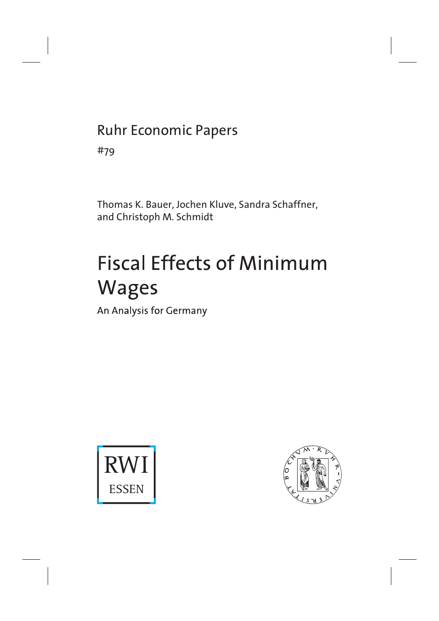## Ruhr Economic Papers

#79

Thomas K. Bauer, Jochen Kluve, Sandra Schaffner, and Christoph M. Schmidt

# **Fiscal Effects of Minimum Wages**

An Analysis for Germany



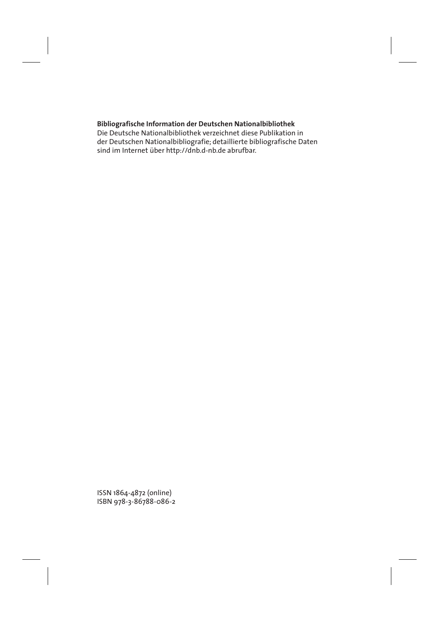## **Bibliografische Information der Deutschen Nationalbibliothek**

Die Deutsche Nationalbibliothek verzeichnet diese Publikation in der Deutschen Nationalbibliografie; detaillierte bibliografische Daten sind im Internet über http://dnb.d-nb.de abrufbar.

ISSN 1864-4872 (online) ISBN 978-3-86788-086-2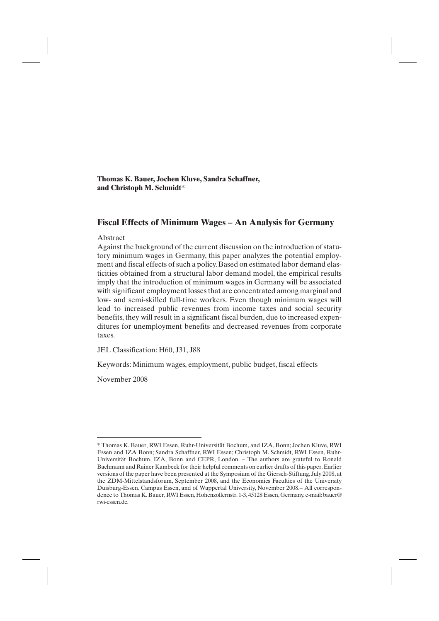**Thomas K. Bauer, Jochen Kluve, Sandra Schaffner, and Christoph M. Schmidt\***

## **Fiscal Effects of Minimum Wages – An Analysis for Germany**

### Abstract

Against the background of the current discussion on the introduction of statutory minimum wages in Germany, this paper analyzes the potential employment and fiscal effects of such a policy. Based on estimated labor demand elasticities obtained from a structural labor demand model, the empirical results imply that the introduction of minimum wages in Germany will be associated with significant employment losses that are concentrated among marginal and low- and semi-skilled full-time workers. Even though minimum wages will lead to increased public revenues from income taxes and social security benefits, they will result in a significant fiscal burden, due to increased expenditures for unemployment benefits and decreased revenues from corporate taxes.

JEL Classification: H60, J31, J88

Keywords: Minimum wages, employment, public budget, fiscal effects

November 2008

<sup>\*</sup> Thomas K. Bauer, RWI Essen, Ruhr-Universität Bochum, and IZA, Bonn; Jochen Kluve, RWI Essen and IZA Bonn; Sandra Schaffner, RWI Essen; Christoph M. Schmidt, RWI Essen, Ruhr-Universität Bochum, IZA, Bonn and CEPR, London. – The authors are grateful to Ronald Bachmann and Rainer Kambeck for their helpful comments on earlier drafts of this paper. Earlier versions of the paper have been presented at the Symposium of the Giersch-Stiftung, July 2008, at the ZDM-Mittelstandsforum, September 2008, and the Economics Faculties of the University Duisburg-Essen, Campus Essen, and of Wuppertal University, November 2008.– All correspondence to Thomas K. Bauer, RWI Essen, Hohenzollernstr. 1-3, 45128 Essen, Germany, e-mail: bauer@ rwi-essen.de.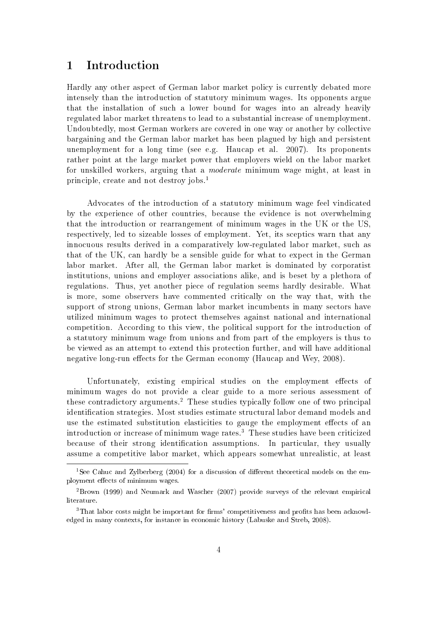#### $\mathbf{1}$ Introduction

Hardly any other aspect of German labor market policy is currently debated more intensely than the introduction of statutory minimum wages. Its opponents argue that the installation of such a lower bound for wages into an already heavily regulated labor market threatens to lead to a substantial increase of unemployment. Undoubtedly, most German workers are covered in one way or another by collective bargaining and the German labor market has been plagued by high and persistent unemployment for a long time (see e.g. Haucap et al. 2007). Its proponents rather point at the large market power that employers wield on the labor market for unskilled workers, arguing that a *moderate* minimum wage might, at least in principle, create and not destroy jobs.<sup>1</sup>

Advocates of the introduction of a statutory minimum wage feel vindicated by the experience of other countries, because the evidence is not overwhelming that the introduction or rearrangement of minimum wages in the UK or the US. respectively, led to sizeable losses of employment. Yet, its sceptics warn that any innocuous results derived in a comparatively low-regulated labor market, such as that of the UK, can hardly be a sensible guide for what to expect in the German labor market. After all, the German labor market is dominated by corporatist institutions, unions and employer associations alike, and is beset by a plethora of regulations. Thus, yet another piece of regulation seems hardly desirable. What is more, some observers have commented critically on the way that, with the support of strong unions. German labor market incumbents in many sectors have utilized minimum wages to protect themselves against national and international competition. According to this view, the political support for the introduction of a statutory minimum wage from unions and from part of the employers is thus to be viewed as an attempt to extend this protection further, and will have additional negative long-run effects for the German economy (Haucap and Wey, 2008).

Unfortunately, existing empirical studies on the employment effects of minimum wages do not provide a clear guide to a more serious assessment of these contradictory arguments.<sup>2</sup> These studies typically follow one of two principal identification strategies. Most studies estimate structural labor demand models and use the estimated substitution elasticities to gauge the employment effects of an introduction or increase of minimum wage rates.<sup>3</sup> These studies have been criticized because of their strong identification assumptions. In particular, they usually assume a competitive labor market, which appears somewhat unrealistic, at least

<sup>&</sup>lt;sup>1</sup>See Cahuc and Zylberberg (2004) for a discussion of different theoretical models on the employment effects of minimum wages.

 ${}^{2}$ Brown (1999) and Neumark and Wascher (2007) provide surveys of the relevant empirical literature.

<sup>&</sup>lt;sup>3</sup>That labor costs might be important for firms' competitiveness and profits has been acknowledged in many contexts, for instance in economic history (Labuske and Streb, 2008).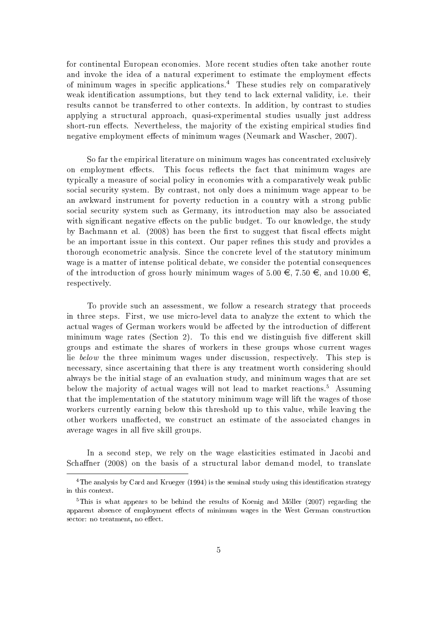for continental European economies. More recent studies often take another route and invoke the idea of a natural experiment to estimate the employment effects of minimum wages in specific applications.<sup>4</sup> These studies rely on comparatively weak identification assumptions, but they tend to lack external validity, i.e. their results cannot be transferred to other contexts. In addition, by contrast to studies applying a structural approach, quasi-experimental studies usually just address short-run effects. Nevertheless, the majority of the existing empirical studies find negative employment effects of minimum wages (Neumark and Wascher, 2007).

So far the empirical literature on minimum wages has concentrated exclusively on employment effects. This focus reflects the fact that minimum wages are typically a measure of social policy in economies with a comparatively weak public social security system. By contrast, not only does a minimum wage appear to be an awkward instrument for poverty reduction in a country with a strong public social security system such as Germany, its introduction may also be associated with significant negative effects on the public budget. To our knowledge, the study by Bachmann et al. (2008) has been the first to suggest that fiscal effects might be an important issue in this context. Our paper refines this study and provides a thorough econometric analysis. Since the concrete level of the statutory minimum wage is a matter of intense political debate, we consider the potential consequences of the introduction of gross hourly minimum wages of 5.00  $\in$ , 7.50  $\in$ , and 10.00  $\in$ , respectively.

To provide such an assessment, we follow a research strategy that proceeds in three steps. First, we use micro-level data to analyze the extent to which the actual wages of German workers would be affected by the introduction of different minimum wage rates (Section 2). To this end we distinguish five different skill groups and estimate the shares of workers in these groups whose current wages lie below the three minimum wages under discussion, respectively. This step is necessary, since ascertaining that there is any treatment worth considering should always be the initial stage of an evaluation study, and minimum wages that are set below the majority of actual wages will not lead to market reactions.<sup>5</sup> Assuming that the implementation of the statutory minimum wage will lift the wages of those workers currently earning below this threshold up to this value, while leaving the other workers unaffected, we construct an estimate of the associated changes in average wages in all five skill groups.

In a second step, we rely on the wage elasticities estimated in Jacobi and Schaffner (2008) on the basis of a structural labor demand model, to translate

<sup>&</sup>lt;sup>4</sup> The analysis by Card and Krueger (1994) is the seminal study using this identification strategy in this context.

 $5$ This is what appears to be behind the results of Koenig and Möller (2007) regarding the apparent absence of employment effects of minimum wages in the West German construction sector: no treatment, no effect.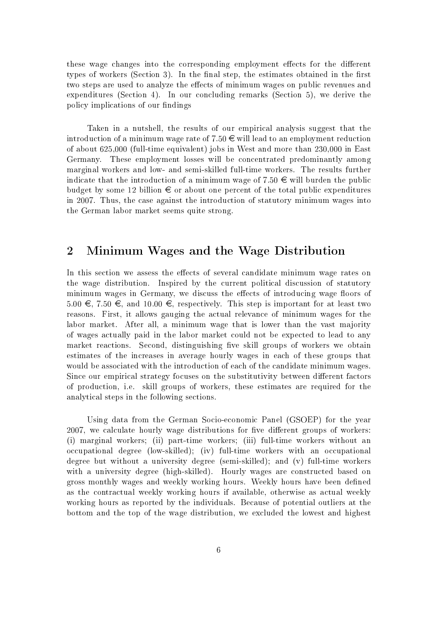these wage changes into the corresponding employment effects for the different types of workers (Section 3). In the final step, the estimates obtained in the first two steps are used to analyze the effects of minimum wages on public revenues and expenditures (Section 4). In our concluding remarks (Section 5), we derive the policy implications of our findings

Taken in a nutshell, the results of our empirical analysis suggest that the introduction of a minimum wage rate of 7.50  $\in$  will lead to an employment reduction of about 625,000 (full-time equivalent) jobs in West and more than 230,000 in East Germany. These employment losses will be concentrated predominantly among marginal workers and low- and semi-skilled full-time workers. The results further indicate that the introduction of a minimum wage of 7.50  $\in$  will burden the public budget by some 12 billion  $\epsilon$  or about one percent of the total public expenditures in 2007. Thus, the case against the introduction of statutory minimum wages into the German labor market seems quite strong.

#### $\overline{2}$ Minimum Wages and the Wage Distribution

In this section we assess the effects of several candidate minimum wage rates on the wage distribution. Inspired by the current political discussion of statutory minimum wages in Germany, we discuss the effects of introducing wage floors of 5.00 €, 7.50 €, and 10.00 €, respectively. This step is important for at least two reasons. First, it allows gauging the actual relevance of minimum wages for the labor market. After all, a minimum wage that is lower than the vast majority of wages actually paid in the labor market could not be expected to lead to any market reactions. Second, distinguishing five skill groups of workers we obtain estimates of the increases in average hourly wages in each of these groups that would be associated with the introduction of each of the candidate minimum wages. Since our empirical strategy focuses on the substitutivity between different factors of production, i.e. skill groups of workers, these estimates are required for the analytical steps in the following sections.

Using data from the German Socio-economic Panel (GSOEP) for the year 2007, we calculate hourly wage distributions for five different groups of workers: (i) marginal workers; (ii) part-time workers; (iii) full-time workers without an occupational degree (low-skilled); (iv) full-time workers with an occupational degree but without a university degree (semi-skilled); and (v) full-time workers with a university degree (high-skilled). Hourly wages are constructed based on gross monthly wages and weekly working hours. Weekly hours have been defined as the contractual weekly working hours if available, otherwise as actual weekly working hours as reported by the individuals. Because of potential outliers at the bottom and the top of the wage distribution, we excluded the lowest and highest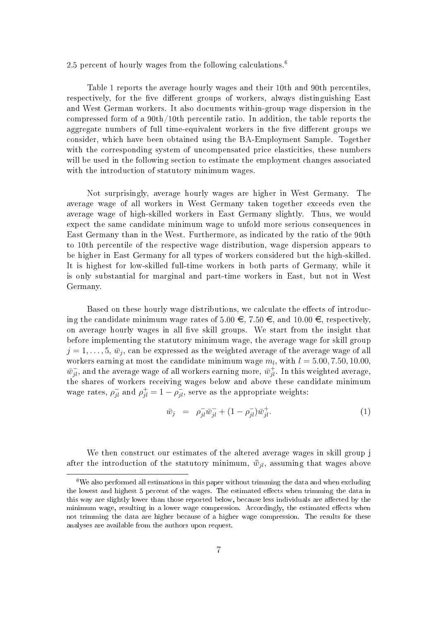2.5 percent of hourly wages from the following calculations.<sup>6</sup>

Table 1 reports the average hourly wages and their 10th and 90th percentiles, respectively, for the five different groups of workers, always distinguishing East and West German workers. It also documents within-group wage dispersion in the compressed form of a  $90th/10th$  percentile ratio. In addition, the table reports the aggregate numbers of full time-equivalent workers in the five different groups we consider, which have been obtained using the BA-Employment Sample. Together with the corresponding system of uncompensated price elasticities, these numbers will be used in the following section to estimate the employment changes associated with the introduction of statutory minimum wages.

Not surprisingly, average hourly wages are higher in West Germany. The average wage of all workers in West Germany taken together exceeds even the average wage of high-skilled workers in East Germany slightly. Thus, we would expect the same candidate minimum wage to unfold more serious consequences in East Germany than in the West. Furthermore, as indicated by the ratio of the 90th to 10th percentile of the respective wage distribution, wage dispersion appears to be higher in East Germany for all types of workers considered but the high-skilled. It is highest for low-skilled full-time workers in both parts of Germany, while it is only substantial for marginal and part-time workers in East, but not in West Germany.

Based on these hourly wage distributions, we calculate the effects of introducing the candidate minimum wage rates of  $5.00 \in 7.50 \in$ , and  $10.00 \in$ , respectively, on average hourly wages in all five skill groups. We start from the insight that before implementing the statutory minimum wage, the average wage for skill group  $j=1,\ldots,5, \bar{w}_i$  can be expressed as the weighted average of the average wage of all workers earning at most the candidate minimum wage  $m_l$ , with  $l = 5.00, 7.50, 10.00$ ,  $\bar{w}_{il}^-$ , and the average wage of all workers earning more,  $\bar{w}_{il}^+$ . In this weighted average, the shares of workers receiving wages below and above these candidate minimum wage rates,  $\rho_{jl}^-$  and  $\rho_{jl}^+ = 1 - \rho_{jl}^-$ , serve as the appropriate weights:

$$
\bar{w}_j = \rho_{jl}^- \bar{w}_{jl}^- + (1 - \rho_{jl}^-) \bar{w}_{jl}^+.
$$
\n(1)

We then construct our estimates of the altered average wages in skill group j after the introduction of the statutory minimum,  $\bar{w}_{il}$ , assuming that wages above

 ${}^{6}$ We also performed all estimations in this paper without trimming the data and when excluding the lowest and highest 5 percent of the wages. The estimated effects when trimming the data in this way are slightly lower than those reported below, because less individuals are affected by the minimum wage, resulting in a lower wage compression. Accordingly, the estimated effects when not trimming the data are higher because of a higher wage compression. The results for these analyses are available from the authors upon request.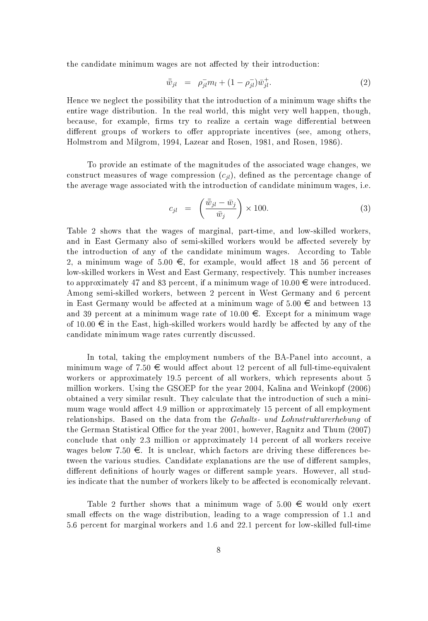the candidate minimum wages are not affected by their introduction:

$$
\bar{\bar{w}}_{jl} = \rho_{jl}^- m_l + (1 - \rho_{jl}^-) \bar{w}_{jl}^+.
$$
\n(2)

Hence we neglect the possibility that the introduction of a minimum wage shifts the entire wage distribution. In the real world, this might very well happen, though, because, for example, firms try to realize a certain wage differential between different groups of workers to offer appropriate incentives (see, among others, Holmstrom and Milgrom, 1994, Lazear and Rosen, 1981, and Rosen, 1986).

To provide an estimate of the magnitudes of the associated wage changes, we construct measures of wage compression  $(c_{il})$ , defined as the percentage change of the average wage associated with the introduction of candidate minimum wages, i.e.

$$
c_{jl} = \left(\frac{\bar{w}_{jl} - \bar{w}_j}{\bar{w}_j}\right) \times 100. \tag{3}
$$

Table 2 shows that the wages of marginal, part-time, and low-skilled workers, and in East Germany also of semi-skilled workers would be affected severely by the introduction of any of the candidate minimum wages. According to Table 2, a minimum wage of 5.00  $\in$ , for example, would affect 18 and 56 percent of low-skilled workers in West and East Germany, respectively. This number increases to approximately 47 and 83 percent, if a minimum wage of  $10.00 \in \text{were introduced}$ . Among semi-skilled workers, between 2 percent in West Germany and 6 percent in East Germany would be affected at a minimum wage of  $5.00 \in \mathfrak{m}$  between 13 and 39 percent at a minimum wage rate of  $10.00 \in$ . Except for a minimum wage of  $10.00 \in$  in the East, high-skilled workers would hardly be affected by any of the candidate minimum wage rates currently discussed.

In total, taking the employment numbers of the BA-Panel into account, a minimum wage of 7.50  $\epsilon$  would affect about 12 percent of all full-time-equivalent workers or approximately 19.5 percent of all workers, which represents about 5 million workers. Using the GSOEP for the year 2004, Kalina and Weinkopf (2006) obtained a very similar result. They calculate that the introduction of such a minimum wage would affect 4.9 million or approximately 15 percent of all employment relationships. Based on the data from the Gehalts- und Lohnstrukturerhebung of the German Statistical Office for the year 2001, however, Ragnitz and Thum (2007) conclude that only 2.3 million or approximately 14 percent of all workers receive wages below 7.50  $\epsilon$ . It is unclear, which factors are driving these differences between the various studies. Candidate explanations are the use of different samples, different definitions of hourly wages or different sample years. However, all studies indicate that the number of workers likely to be affected is economically relevant.

Table 2 further shows that a minimum wage of 5.00  $\in$  would only exert small effects on the wage distribution, leading to a wage compression of 1.1 and 5.6 percent for marginal workers and 1.6 and 22.1 percent for low-skilled full-time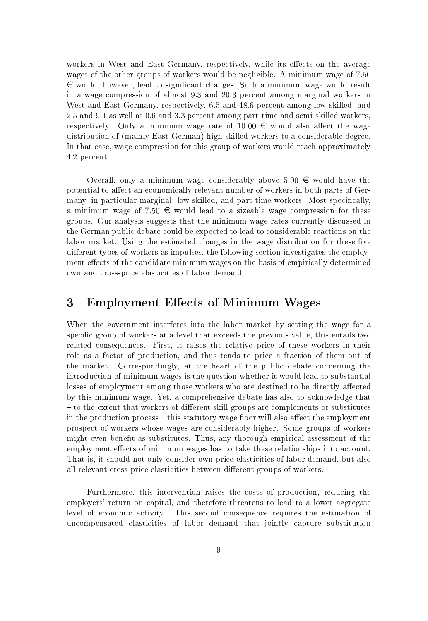workers in West and East Germany, respectively, while its effects on the average wages of the other groups of workers would be negligible. A minimum wage of 7.50  $\in$  would, however, lead to significant changes. Such a minimum wage would result in a wage compression of almost 9.3 and 20.3 percent among marginal workers in West and East Germany, respectively, 6.5 and 48.6 percent among low-skilled, and 2.5 and 9.1 as well as 0.6 and 3.3 percent among part-time and semi-skilled workers, respectively. Only a minimum wage rate of  $10.00 \in \mathbb{R}$  would also affect the wage distribution of (mainly East-German) high-skilled workers to a considerable degree. In that case, wage compression for this group of workers would reach approximately 4.2 percent.

Overall, only a minimum wage considerably above 5.00  $\epsilon$  would have the potential to affect an economically relevant number of workers in both parts of Germany, in particular marginal, low-skilled, and part-time workers. Most specifically, a minimum wage of 7.50  $\in$  would lead to a sizeable wage compression for these groups. Our analysis suggests that the minimum wage rates currently discussed in the German public debate could be expected to lead to considerable reactions on the labor market. Using the estimated changes in the wage distribution for these five different types of workers as impulses, the following section investigates the employment effects of the candidate minimum wages on the basis of empirically determined own and cross-price elasticities of labor demand.

#### 3 **Employment Effects of Minimum Wages**

When the government interferes into the labor market by setting the wage for a specific group of workers at a level that exceeds the previous value, this entails two related consequences. First, it raises the relative price of these workers in their role as a factor of production, and thus tends to price a fraction of them out of the market. Correspondingly, at the heart of the public debate concerning the introduction of minimum wages is the question whether it would lead to substantial losses of employment among those workers who are destined to be directly affected by this minimum wage. Yet, a comprehensive debate has also to acknowledge that – to the extent that workers of different skill groups are complements or substitutes in the production process – this statutory wage floor will also affect the employment prospect of workers whose wages are considerably higher. Some groups of workers might even benefit as substitutes. Thus, any thorough empirical assessment of the employment effects of minimum wages has to take these relationships into account. That is, it should not only consider own-price elasticities of labor demand, but also all relevant cross-price elasticities between different groups of workers.

Furthermore, this intervention raises the costs of production, reducing the employers' return on capital, and therefore threatens to lead to a lower aggregate level of economic activity. This second consequence requires the estimation of uncompensated elasticities of labor demand that jointly capture substitution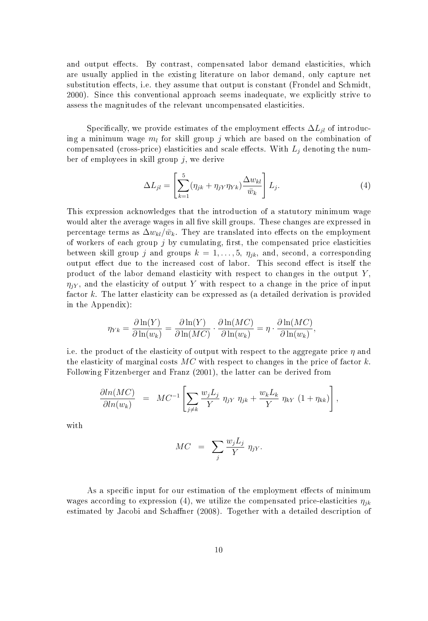and output effects. By contrast, compensated labor demand elasticities, which are usually applied in the existing literature on labor demand, only capture net substitution effects, i.e. they assume that output is constant (Frondel and Schmidt, 2000). Since this conventional approach seems inadequate, we explicitly strive to assess the magnitudes of the relevant uncompensated elasticities.

Specifically, we provide estimates of the employment effects  $\Delta L_{il}$  of introducing a minimum wage  $m_l$  for skill group j which are based on the combination of compensated (cross-price) elasticities and scale effects. With  $L_i$  denoting the number of employees in skill group  $j$ , we derive

$$
\Delta L_{jl} = \left[ \sum_{k=1}^{5} (\eta_{jk} + \eta_{jY} \eta_{Yk}) \frac{\Delta w_{kl}}{\bar{w}_k} \right] L_j.
$$
 (4)

This expression acknowledges that the introduction of a statutory minimum wage would alter the average wages in all five skill groups. These changes are expressed in percentage terms as  $\Delta w_{kl}/\bar{w}_k$ . They are translated into effects on the employment of workers of each group  $j$  by cumulating, first, the compensated price elasticities between skill group j and groups  $k = 1, \ldots, 5, \eta_{jk}$ , and, second, a corresponding output effect due to the increased cost of labor. This second effect is itself the product of the labor demand elasticity with respect to changes in the output  $Y$ ,  $\eta_{iY}$ , and the elasticity of output Y with respect to a change in the price of input factor k. The latter elasticity can be expressed as (a detailed derivation is provided in the Appendix):

$$
\eta_{Yk} = \frac{\partial \ln(Y)}{\partial \ln(w_k)} = \frac{\partial \ln(Y)}{\partial \ln(MC)} \cdot \frac{\partial \ln(MC)}{\partial \ln(w_k)} = \eta \cdot \frac{\partial \ln(MC)}{\partial \ln(w_k)},
$$

i.e. the product of the elasticity of output with respect to the aggregate price  $\eta$  and the elasticity of marginal costs  $MC$  with respect to changes in the price of factor k. Following Fitzenberger and Franz (2001), the latter can be derived from

$$
\frac{\partial \ln(MC)}{\partial \ln(w_k)} = MC^{-1} \left[ \sum_{j \neq k} \frac{w_j L_j}{Y} \eta_{jY} \eta_{jk} + \frac{w_k L_k}{Y} \eta_{kY} (1 + \eta_{kk}) \right],
$$

with

$$
MC = \sum_{j} \frac{w_j L_j}{Y} \eta_{jY}
$$

As a specific input for our estimation of the employment effects of minimum wages according to expression (4), we utilize the compensated price-elasticities  $\eta_{ik}$ estimated by Jacobi and Schaffner (2008). Together with a detailed description of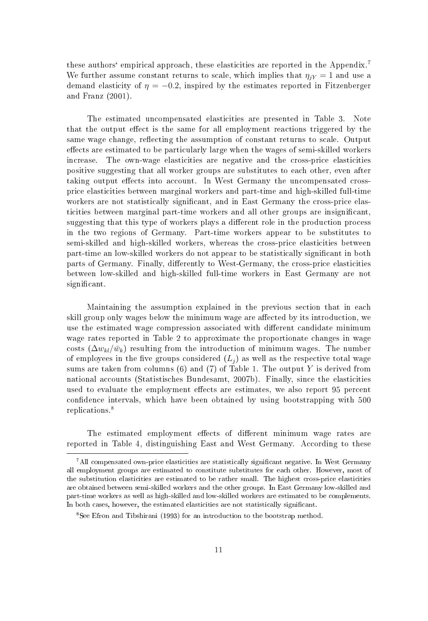these authors' empirical approach, these elasticities are reported in the Appendix.<sup>7</sup> We further assume constant returns to scale, which implies that  $\eta_{iY} = 1$  and use a demand elasticity of  $\eta = -0.2$ , inspired by the estimates reported in Fitzenberger and Franz (2001).

The estimated uncompensated elasticities are presented in Table 3. Note that the output effect is the same for all employment reactions triggered by the same wage change, reflecting the assumption of constant returns to scale. Output effects are estimated to be particularly large when the wages of semi-skilled workers increase. The own-wage elasticities are negative and the cross-price elasticities positive suggesting that all worker groups are substitutes to each other, even after taking output effects into account. In West Germany the uncompensated crossprice elasticities between marginal workers and part-time and high-skilled full-time workers are not statistically significant, and in East Germany the cross-price elasticities between marginal part-time workers and all other groups are insignificant, suggesting that this type of workers plays a different role in the production process in the two regions of Germany. Part-time workers appear to be substitutes to semi-skilled and high-skilled workers, whereas the cross-price elasticities between part-time an low-skilled workers do not appear to be statistically significant in both parts of Germany. Finally, differently to West-Germany, the cross-price elasticities between low-skilled and high-skilled full-time workers in East Germany are not significant.

Maintaining the assumption explained in the previous section that in each skill group only wages below the minimum wage are affected by its introduction, we use the estimated wage compression associated with different candidate minimum wage rates reported in Table 2 to approximate the proportionate changes in wage costs  $(\Delta w_{kl}/\bar{w}_k)$  resulting from the introduction of minimum wages. The number of employees in the five groups considered  $(L_i)$  as well as the respective total wage sums are taken from columns  $(6)$  and  $(7)$  of Table 1. The output Y is derived from national accounts (Statistisches Bundesamt, 2007b). Finally, since the elasticities used to evaluate the employment effects are estimates, we also report 95 percent confidence intervals, which have been obtained by using bootstrapping with 500 replications.<sup>8</sup>

The estimated employment effects of different minimum wage rates are reported in Table 4, distinguishing East and West Germany. According to these

<sup>&</sup>lt;sup>7</sup>All compensated own-price elasticities are statistically significant negative. In West Germany all employment groups are estimated to constitute substitutes for each other. However, most of the substitution elasticities are estimated to be rather small. The highest cross-price elasticities are obtained between semi-skilled workers and the other groups. In East Germany low-skilled and part-time workers as well as high-skilled and low-skilled workers are estimated to be complements. In both cases, however, the estimated elasticities are not statistically significant.

<sup>&</sup>lt;sup>8</sup>See Efron and Tibshirani (1993) for an introduction to the bootstrap method.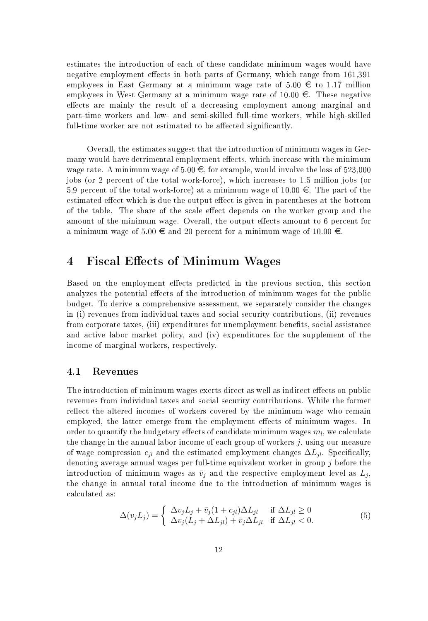estimates the introduction of each of these candidate minimum wages would have negative employment effects in both parts of Germany, which range from 161,391 employees in East Germany at a minimum wage rate of 5.00  $\in$  to 1.17 million employees in West Germany at a minimum wage rate of 10.00  $\epsilon$ . These negative effects are mainly the result of a decreasing employment among marginal and part-time workers and low- and semi-skilled full-time workers, while high-skilled full-time worker are not estimated to be affected significantly.

Overall, the estimates suggest that the introduction of minimum wages in Germany would have detrimental employment effects, which increase with the minimum wage rate. A minimum wage of  $5.00 \in$ , for example, would involve the loss of  $523,000$ jobs (or 2 percent of the total work-force), which increases to 1.5 million jobs (or 5.9 percent of the total work-force) at a minimum wage of  $10.00 \in$ . The part of the estimated effect which is due the output effect is given in parentheses at the bottom of the table. The share of the scale effect depends on the worker group and the amount of the minimum wage. Overall, the output effects amount to 6 percent for a minimum wage of  $5.00 \in$  and 20 percent for a minimum wage of 10.00  $\in$ .

#### **Fiscal Effects of Minimum Wages**  $\overline{4}$

Based on the employment effects predicted in the previous section, this section analyzes the potential effects of the introduction of minimum wages for the public budget. To derive a comprehensive assessment, we separately consider the changes in (i) revenues from individual taxes and social security contributions, (ii) revenues from corporate taxes, (iii) expenditures for unemployment benefits, social assistance and active labor market policy, and (iv) expenditures for the supplement of the income of marginal workers, respectively.

#### $\bf 4.1$ Revenues

The introduction of minimum wages exerts direct as well as indirect effects on public revenues from individual taxes and social security contributions. While the former reflect the altered incomes of workers covered by the minimum wage who remain employed, the latter emerge from the employment effects of minimum wages. In order to quantify the budgetary effects of candidate minimum wages  $m_l$ , we calculate the change in the annual labor income of each group of workers  $j,$  using our measure of wage compression  $c_{il}$  and the estimated employment changes  $\Delta L_{il}$ . Specifically, denoting average annual wages per full-time equivalent worker in group  $j$  before the introduction of minimum wages as  $\bar{v}_j$  and the respective employment level as  $L_j$ , the change in annual total income due to the introduction of minimum wages is calculated as:

$$
\Delta(v_j L_j) = \begin{cases} \Delta v_j L_j + \bar{v}_j (1 + c_{jl}) \Delta L_{jl} & \text{if } \Delta L_{jl} \ge 0\\ \Delta v_j (L_j + \Delta L_{jl}) + \bar{v}_j \Delta L_{jl} & \text{if } \Delta L_{jl} < 0. \end{cases}
$$
(5)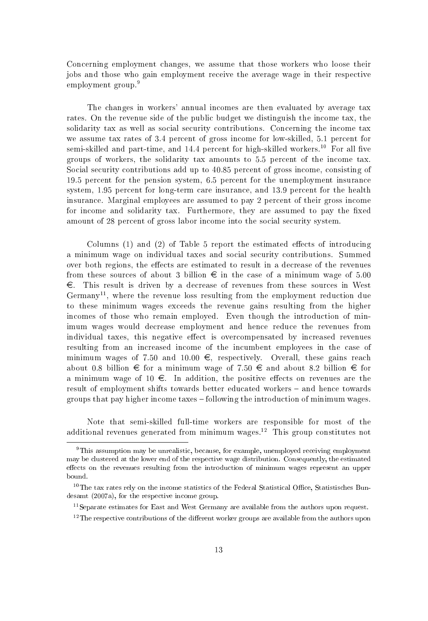Concerning employment changes, we assume that those workers who loose their jobs and those who gain employment receive the average wage in their respective employment group.<sup>9</sup>

The changes in workers' annual incomes are then evaluated by average tax rates. On the revenue side of the public budget we distinguish the income tax, the solidarity tax as well as social security contributions. Concerning the income tax we assume tax rates of 3.4 percent of gross income for low-skilled, 5.1 percent for semi-skilled and part-time, and 14.4 percent for high-skilled workers.<sup>10</sup> For all five groups of workers, the solidarity tax amounts to 5.5 percent of the income tax. Social security contributions add up to 40.85 percent of gross income, consisting of 19.5 percent for the pension system, 6.5 percent for the unemployment insurance system, 1.95 percent for long-term care insurance, and 13.9 percent for the health insurance. Marginal employees are assumed to pay 2 percent of their gross income for income and solidarity tax. Furthermore, they are assumed to pay the fixed amount of 28 percent of gross labor income into the social security system.

Columns (1) and (2) of Table 5 report the estimated effects of introducing a minimum wage on individual taxes and social security contributions. Summed over both regions, the effects are estimated to result in a decrease of the revenues from these sources of about 3 billion  $\epsilon$  in the case of a minimum wage of 5.00  $\epsilon$ . This result is driven by a decrease of revenues from these sources in West Germany<sup>11</sup>, where the revenue loss resulting from the employment reduction due to these minimum wages exceeds the revenue gains resulting from the higher incomes of those who remain employed. Even though the introduction of minimum wages would decrease employment and hence reduce the revenues from individual taxes, this negative effect is overcompensated by increased revenues resulting from an increased income of the incumbent employees in the case of minimum wages of 7.50 and 10.00  $\in$ , respectively. Overall, these gains reach about 0.8 billion € for a minimum wage of 7.50 € and about 8.2 billion € for a minimum wage of 10  $\epsilon$ . In addition, the positive effects on revenues are the result of employment shifts towards better educated workers – and hence towards groups that pay higher income taxes - following the introduction of minimum wages.

Note that semi-skilled full-time workers are responsible for most of the additional revenues generated from minimum wages.<sup>12</sup> This group constitutes not

<sup>&</sup>lt;sup>9</sup>This assumption may be unrealistic, because, for example, unemployed receiving employment may be clustered at the lower end of the respective wage distribution. Consequently, the estimated effects on the revenues resulting from the introduction of minimum wages represent an upper bound.

<sup>&</sup>lt;sup>10</sup> The tax rates rely on the income statistics of the Federal Statistical Office, Statistisches Bundesamt (2007a), for the respective income group.

<sup>&</sup>lt;sup>11</sup> Separate estimates for East and West Germany are available from the authors upon request.

 $12$  The respective contributions of the different worker groups are available from the authors upon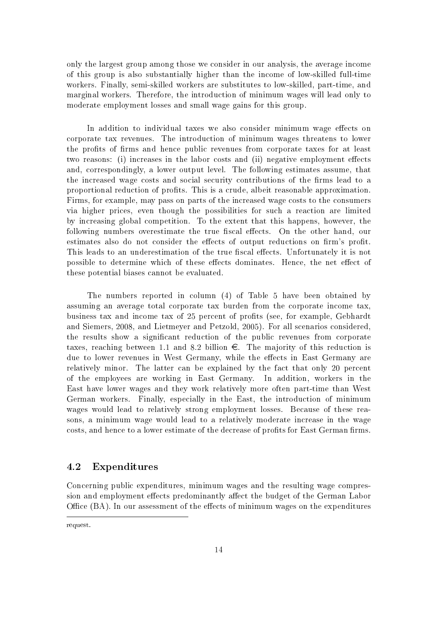only the largest group among those we consider in our analysis, the average income of this group is also substantially higher than the income of low-skilled full-time workers. Finally, semi-skilled workers are substitutes to low-skilled, part-time, and marginal workers. Therefore, the introduction of minimum wages will lead only to moderate employment losses and small wage gains for this group.

In addition to individual taxes we also consider minimum wage effects on corporate tax revenues. The introduction of minimum wages threatens to lower the profits of firms and hence public revenues from corporate taxes for at least two reasons: (i) increases in the labor costs and (ii) negative employment effects and, correspondingly, a lower output level. The following estimates assume, that the increased wage costs and social security contributions of the firms lead to a proportional reduction of profits. This is a crude, albeit reasonable approximation. Firms, for example, may pass on parts of the increased wage costs to the consumers via higher prices, even though the possibilities for such a reaction are limited by increasing global competition. To the extent that this happens, however, the following numbers overestimate the true fiscal effects. On the other hand, our estimates also do not consider the effects of output reductions on firm's profit. This leads to an underestimation of the true fiscal effects. Unfortunately it is not possible to determine which of these effects dominates. Hence, the net effect of these potential biases cannot be evaluated.

The numbers reported in column (4) of Table 5 have been obtained by assuming an average total corporate tax burden from the corporate income tax, business tax and income tax of 25 percent of profits (see, for example, Gebhardt and Siemers, 2008, and Lietmeyer and Petzold, 2005). For all scenarios considered, the results show a significant reduction of the public revenues from corporate taxes, reaching between 1.1 and 8.2 billion  $\epsilon$ . The majority of this reduction is due to lower revenues in West Germany, while the effects in East Germany are relatively minor. The latter can be explained by the fact that only 20 percent of the employees are working in East Germany. In addition, workers in the East have lower wages and they work relatively more often part-time than West German workers. Finally, especially in the East, the introduction of minimum wages would lead to relatively strong employment losses. Because of these reasons, a minimum wage would lead to a relatively moderate increase in the wage costs, and hence to a lower estimate of the decrease of profits for East German firms.

#### 4.2 Expenditures

Concerning public expenditures, minimum wages and the resulting wage compression and employment effects predominantly affect the budget of the German Labor Office (BA). In our assessment of the effects of minimum wages on the expenditures

request.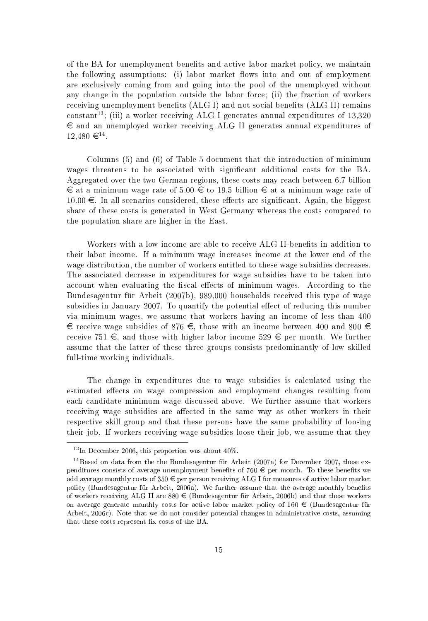of the BA for unemployment benefits and active labor market policy, we maintain the following assumptions: (i) labor market flows into and out of employment are exclusively coming from and going into the pool of the unemployed without any change in the population outside the labor force; (ii) the fraction of workers receiving unemployment benefits (ALG I) and not social benefits (ALG II) remains constant<sup>13</sup>; (iii) a worker receiving ALG I generates annual expenditures of  $13,320$  $\in$  and an unemployed worker receiving ALG II generates annual expenditures of  $12.480 \in \mathbb{R}^{14}$ .

Columns (5) and (6) of Table 5 document that the introduction of minimum wages threatens to be associated with significant additional costs for the BA. Aggregated over the two German regions, these costs may reach between 6.7 billion  $\epsilon$  at a minimum wage rate of 5.00  $\epsilon$  to 19.5 billion  $\epsilon$  at a minimum wage rate of  $10.00 \in$ . In all scenarios considered, these effects are significant. Again, the biggest share of these costs is generated in West Germany whereas the costs compared to the population share are higher in the East.

Workers with a low income are able to receive ALG II-benefits in addition to their labor income. If a minimum wage increases income at the lower end of the wage distribution, the number of workers entitled to these wage subsidies decreases. The associated decrease in expenditures for wage subsidies have to be taken into account when evaluating the fiscal effects of minimum wages. According to the Bundesagentur für Arbeit (2007b), 989,000 households received this type of wage subsidies in January 2007. To quantify the potential effect of reducing this number via minimum wages, we assume that workers having an income of less than 400 € receive wage subsidies of 876 €, those with an income between 400 and 800 € receive 751 €, and those with higher labor income 529 € per month. We further assume that the latter of these three groups consists predominantly of low skilled full-time working individuals.

The change in expenditures due to wage subsidies is calculated using the estimated effects on wage compression and employment changes resulting from each candidate minimum wage discussed above. We further assume that workers receiving wage subsidies are affected in the same way as other workers in their respective skill group and that these persons have the same probability of loosing their job. If workers receiving wage subsidies loose their job, we assume that they

 $^{13}$ In December 2006, this proportion was about  $40\%$ .

<sup>&</sup>lt;sup>14</sup> Based on data from the the Bundesagentur für Arbeit (2007a) for December 2007, these expenditures consists of average unemployment benefits of 760  $\in$  per month. To these benefits we add average monthly costs of  $350 \in$  per person receiving ALG I for measures of active labor market policy (Bundesagentur für Arbeit, 2006a). We further assume that the average monthly benefits of workers receiving ALG II are  $880 \in$  (Bundesagentur für Arbeit, 2006b) and that these workers on average generate monthly costs for active labor market policy of  $160 \in$  (Bundesagentur für Arbeit, 2006c). Note that we do not consider potential changes in administrative costs, assuming that these costs represent fix costs of the BA.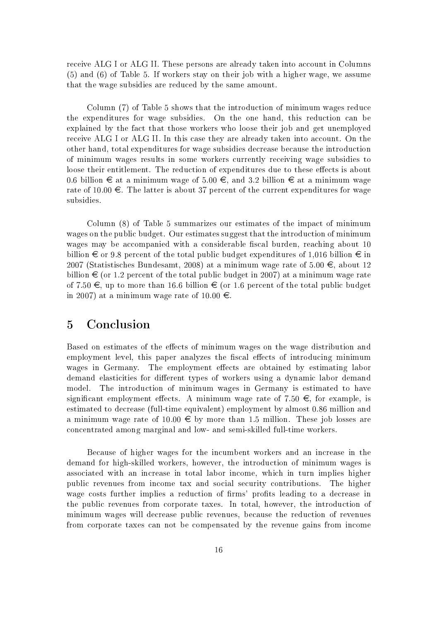receive ALG I or ALG II. These persons are already taken into account in Columns (5) and (6) of Table 5. If workers stay on their job with a higher wage, we assume that the wage subsidies are reduced by the same amount.

Column (7) of Table 5 shows that the introduction of minimum wages reduce the expenditures for wage subsidies. On the one hand, this reduction can be explained by the fact that those workers who loose their job and get unemployed receive ALG I or ALG II. In this case they are already taken into account. On the other hand, total expenditures for wage subsidies decrease because the introduction of minimum wages results in some workers currently receiving wage subsidies to loose their entitlement. The reduction of expenditures due to these effects is about 0.6 billion  $\in$  at a minimum wage of 5.00  $\in$ , and 3.2 billion  $\in$  at a minimum wage rate of  $10.00 \in$ . The latter is about 37 percent of the current expenditures for wage subsidies.

Column (8) of Table 5 summarizes our estimates of the impact of minimum wages on the public budget. Our estimates suggest that the introduction of minimum wages may be accompanied with a considerable fiscal burden, reaching about 10 billion  $\epsilon$  or 9.8 percent of the total public budget expenditures of 1,016 billion  $\epsilon$  in 2007 (Statistisches Bundesamt, 2008) at a minimum wage rate of  $5.00 \in$ , about 12 billion  $\in$  (or 1.2 percent of the total public budget in 2007) at a minimum wage rate of 7.50  $\in$ , up to more than 16.6 billion  $\in$  (or 1.6 percent of the total public budget in 2007) at a minimum wage rate of 10.00  $\in$ .

#### $\overline{5}$ Conclusion

Based on estimates of the effects of minimum wages on the wage distribution and employment level, this paper analyzes the fiscal effects of introducing minimum wages in Germany. The employment effects are obtained by estimating labor demand elasticities for different types of workers using a dynamic labor demand model. The introduction of minimum wages in Germany is estimated to have significant employment effects. A minimum wage rate of 7.50  $\epsilon$ , for example, is estimated to decrease (full-time equivalent) employment by almost 0.86 million and a minimum wage rate of 10.00  $\in$  by more than 1.5 million. These job losses are concentrated among marginal and low- and semi-skilled full-time workers.

Because of higher wages for the incumbent workers and an increase in the demand for high-skilled workers, however, the introduction of minimum wages is associated with an increase in total labor income, which in turn implies higher public revenues from income tax and social security contributions. The higher wage costs further implies a reduction of firms' profits leading to a decrease in the public revenues from corporate taxes. In total, however, the introduction of minimum wages will decrease public revenues, because the reduction of revenues from corporate taxes can not be compensated by the revenue gains from income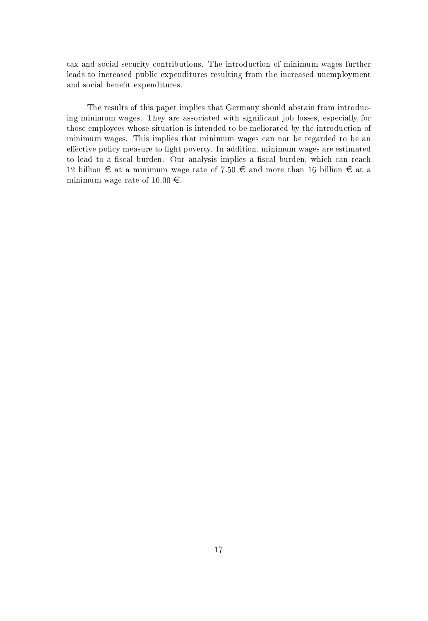tax and social security contributions. The introduction of minimum wages further leads to increased public expenditures resulting from the increased unemployment and social benefit expenditures.

The results of this paper implies that Germany should abstain from introducing minimum wages. They are associated with significant job losses, especially for those employees whose situation is intended to be meliorated by the introduction of minimum wages. This implies that minimum wages can not be regarded to be an effective policy measure to fight poverty. In addition, minimum wages are estimated to lead to a fiscal burden. Our analysis implies a fiscal burden, which can reach 12 billion ∈ at a minimum wage rate of 7.50 ∈ and more than 16 billion ∈ at a minimum wage rate of  $10.00 \in$ .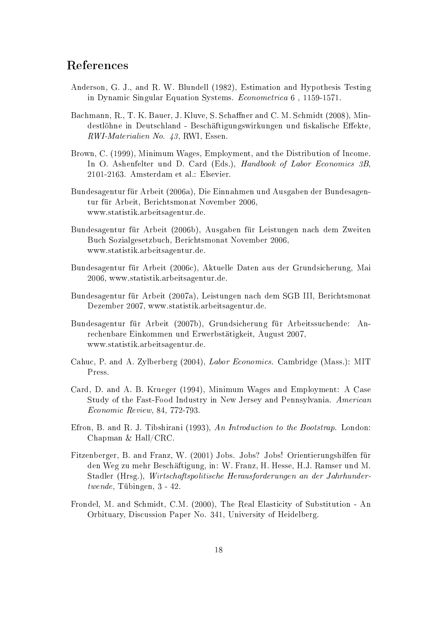## References

- Anderson, G. J., and R. W. Blundell (1982), Estimation and Hypothesis Testing in Dynamic Singular Equation Systems. Econometrica 6, 1159-1571.
- Bachmann, R., T. K. Bauer, J. Kluve, S. Schaffner and C. M. Schmidt (2008), Mindestlöhne in Deutschland - Beschäftigungswirkungen und fiskalische Effekte, RWI Materialien No. 43, RWI, Essen.
- Brown, C. (1999), Minimum Wages, Employment, and the Distribution of Income. In O. Ashenfelter und D. Card (Eds.), Handbook of Labor Economics 3B, 2101-2163. Amsterdam et al.: Elsevier.
- Bundesagentur für Arbeit (2006a), Die Einnahmen und Ausgaben der Bundesagentur für Arbeit, Berichtsmonat November 2006, www.statistik.arbeitsagentur.de.
- Bundesagentur für Arbeit (2006b), Ausgaben für Leistungen nach dem Zweiten Buch Sozialgesetzbuch, Berichtsmonat November 2006, www.statistik.arbeitsagentur.de.
- Bundesagentur für Arbeit (2006c). Aktuelle Daten aus der Grundsicherung. Mai 2006, www.statistik.arbeitsagentur.de.
- Bundesagentur für Arbeit (2007a), Leistungen nach dem SGB III, Berichtsmonat Dezember 2007, www.statistik.arbeitsagentur.de.
- Bundesagentur für Arbeit (2007b), Grundsicherung für Arbeitssuchende: Anrechenbare Einkommen und Erwerbstätigkeit, August 2007, www.statistik.arbeitsagentur.de.
- Cahuc, P. and A. Zylberberg (2004), Labor Economics. Cambridge (Mass.): MIT Press.
- Card, D. and A. B. Krueger (1994), Minimum Wages and Employment: A Case Study of the Fast-Food Industry in New Jersey and Pennsylvania. American Economic Review, 84, 772-793.
- Efron, B. and R. J. Tibshirani (1993), An Introduction to the Bootstrap. London: Chapman & Hall/CRC.
- Fitzenberger, B. and Franz, W. (2001) Jobs. Jobs? Jobs! Orientierungshilfen für den Weg zu mehr Beschäftigung, in: W. Franz, H. Hesse, H.J. Ramser und M. Stadler (Hrsg.), Wirtschaftspolitische Herausforderungen an der Jahrhunder $twende$ , Tübingen, 3 - 42.
- Frondel, M. and Schmidt, C.M. (2000), The Real Elasticity of Substitution An Orbituary, Discussion Paper No. 341, University of Heidelberg.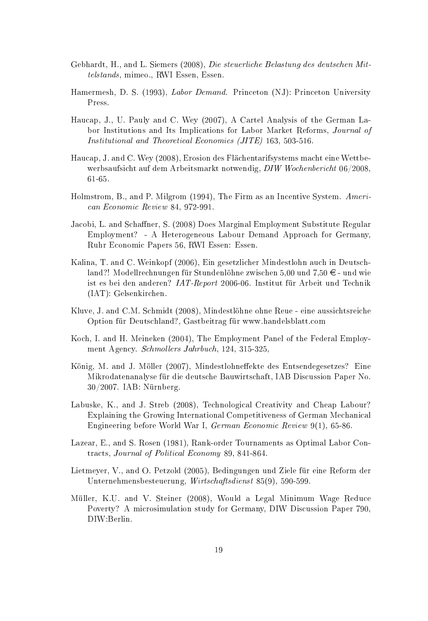- Gebhardt, H., and L. Siemers (2008), Die steuerliche Belastung des deutschen Mittelstands, mimeo., RWI Essen, Essen.
- Hamermesh, D. S. (1993), *Labor Demand*. Princeton (NJ): Princeton University Press.
- Haucap, J., U. Pauly and C. Wey (2007), A Cartel Analysis of the German Labor Institutions and Its Implications for Labor Market Reforms, Journal of Institutional and Theoretical Economics (JITE) 163, 503-516.
- Haucap, J. and C. Wey (2008). Erosion des Flächentarifsystems macht eine Wettbewerbsaufsicht auf dem Arbeitsmarkt notwendig, DIW Wochenbericht 06/2008. 61 65.
- Holmstrom, B., and P. Milgrom (1994), The Firm as an Incentive System. American Economic Review 84, 972-991.
- Jacobi, L. and Schaffner, S. (2008) Does Marginal Employment Substitute Regular Employment? - A Heterogeneous Labour Demand Approach for Germany, Ruhr Economic Papers 56, RWI Essen: Essen.
- Kalina, T. and C. Weinkopf (2006). Ein gesetzlicher Mindestlohn auch in Deutschland?! Modellrechnungen für Stundenlöhne zwischen 5.00 und 7.50  $\in$  - und wie ist es bei den anderen? IAT-Report 2006-06. Institut für Arbeit und Technik (IAT): Gelsenkirchen.
- Kluve, J. and C.M. Schmidt (2008), Mindestlöhne ohne Reue eine aussichtsreiche Option für Deutschland?, Gastbeitrag für www.handelsblatt.com
- Koch, I. and H. Meineken (2004), The Employment Panel of the Federal Employment Agency. Schmollers Jahrbuch, 124, 315-325,
- König, M. and J. Möller (2007), Mindestlohneffekte des Entsendegesetzes? Eine Mikrodatenanalyse für die deutsche Bauwirtschaft, IAB Discussion Paper No.  $30/2007$ . IAB: Nürnberg.
- Labuske, K., and J. Streb (2008), Technological Creativity and Cheap Labour? Explaining the Growing International Competitiveness of German Mechanical Engineering before World War I, German Economic Review 9(1), 65-86.
- Lazear, E., and S. Rosen (1981), Rank-order Tournaments as Optimal Labor Contracts, Journal of Political Economy 89, 841-864.
- Lietmeyer, V., and O. Petzold (2005). Bedingungen und Ziele für eine Reform der Unternehmensbesteuerung, Wirtschaftsdienst 85(9), 590-599.
- Müller, K.U. and V. Steiner (2008), Would a Legal Minimum Wage Reduce Poverty? A microsimulation study for Germany, DIW Discussion Paper 790, DIW:Berlin.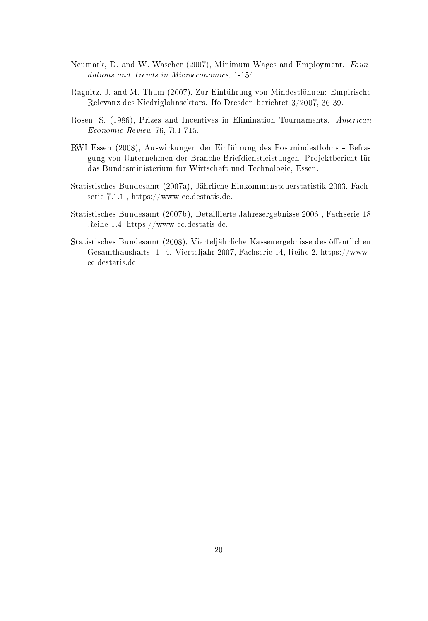- Neumark, D. and W. Wascher (2007), Minimum Wages and Employment. Foundations and Trends in Microeconomics, 1-154.
- Ragnitz, J. and M. Thum (2007), Zur Einführung von Mindestlöhnen: Empirische Relevanz des Niedriglohnsektors. Ifo Dresden berichtet 3/2007, 36-39.
- Rosen, S. (1986), Prizes and Incentives in Elimination Tournaments. American  $Economic\; Review\;76,\,701\mbox{-}715.$
- RWI Essen (2008). Auswirkungen der Einführung des Postmindestlohns Befragung von Unternehmen der Branche Briefdienstleistungen. Projektbericht für das Bundesministerium für Wirtschaft und Technologie, Essen.
- Statistisches Bundesamt (2007a), Jährliche Einkommensteuerstatistik 2003, Fachserie 7.1.1., https://www-ec.destatis.de.
- Statistisches Bundesamt (2007b), Detaillierte Jahresergebnisse 2006, Fachserie 18 Reihe 1.4, https://www-ec.destatis.de.
- Statistisches Bundesamt (2008). Vierteliährliche Kassenergebnisse des öffentlichen Gesamthaushalts: 1.4. Vierteljahr 2007, Fachserie 14, Reihe 2, https://wwwec.destatis.de.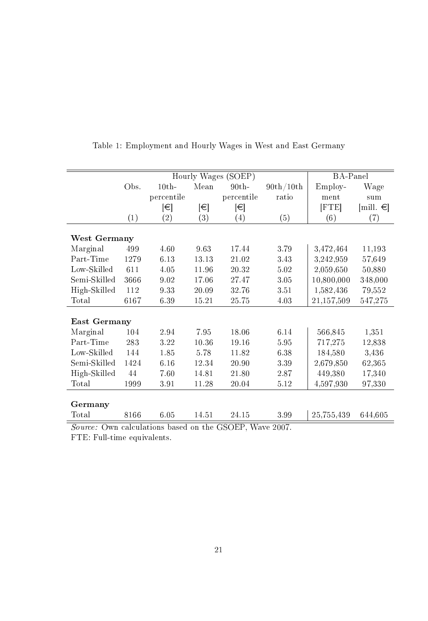|                           |      | Hourly Wages (SOEP) |                   |                   |           |               | BA-Panel  |  |
|---------------------------|------|---------------------|-------------------|-------------------|-----------|---------------|-----------|--|
|                           | Obs. | 10th                | Mean              | 90th              | 90th/10th | Employ-       | Wage      |  |
|                           |      | percentile          |                   | percentile        | ratio     | ment          | sum       |  |
|                           |      | ∣€∣                 | $ \!\!\in\rangle$ | ∣€∣               |           | $[{\rm FTE}]$ | [mill. €] |  |
|                           | (1)  | $\left( 2\right)$   | (3)               | $\left( 4\right)$ | (5)       | (6)           | (7)       |  |
|                           |      |                     |                   |                   |           |               |           |  |
| West Germany              |      |                     |                   |                   |           |               |           |  |
| Marginal                  | 499  | 4.60                | 9.63              | 17.44             | 3.79      | 3,472,464     | 11,193    |  |
| Part-Time                 | 1279 | 6.13                | 13.13             | 21.02             | 3.43      | 3,242,959     | 57,649    |  |
| Low-Skilled               | 611  | 4.05                | 11.96             | 20.32             | 5.02      | 2,059,650     | 50,880    |  |
| Semi-Skilled              | 3666 | 9.02                | 17.06             | 27.47             | 3.05      | 10,800,000    | 348,000   |  |
| High-Skilled              | 112  | 9.33                | 20.09             | 32.76             | 3.51      | 1,582,436     | 79,552    |  |
| Total                     | 6167 | 6.39                | 15.21             | 25.75             | 4.03      | 21,157,509    | 547,275   |  |
|                           |      |                     |                   |                   |           |               |           |  |
| East Germany              |      |                     |                   |                   |           |               |           |  |
| Marginal                  | 104  | 2.94                | 7.95              | 18.06             | 6.14      | 566,845       | 1,351     |  |
| Part-Time                 | 283  | 3.22                | 10.36             | 19.16             | 5.95      | 717,275       | 12,838    |  |
| Low-Skilled               | 144  | 1.85                | 5.78              | 11.82             | 6.38      | 184,580       | 3,436     |  |
| Semi-Skilled              | 1424 | 6.16                | 12.34             | 20.90             | 3.39      | 2,679,850     | 62,365    |  |
| High-Skilled              | 44   | 7.60                | 14.81             | 21.80             | 2.87      | 449,380       | 17,340    |  |
| Total                     | 1999 | 3.91                | 11.28             | 20.04             | 5.12      | 4,597,930     | 97,330    |  |
|                           |      |                     |                   |                   |           |               |           |  |
| Germany                   |      |                     |                   |                   |           |               |           |  |
| Total                     | 8166 | 6.05                | 14.51             | 24.15             | 3.99      | 25,755,439    | 644,605   |  |
| $\alpha$ ------- $\alpha$ |      |                     |                   |                   |           |               |           |  |

Table 1: Employment and Hourly Wages in West and East Germany

Source: Own calculations based on the GSOEP, Wave 2007.

FTE: Full-time equivalents.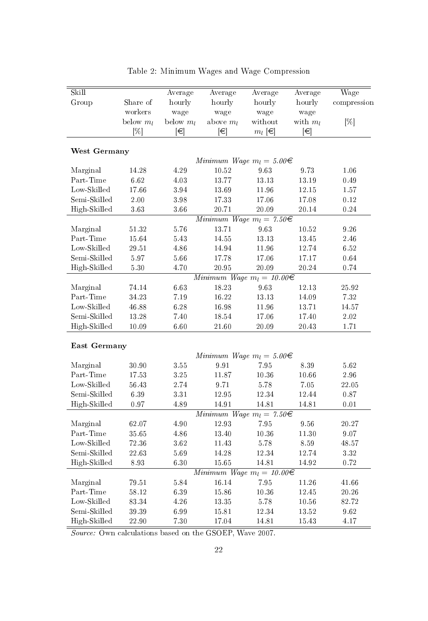| Skill                        |               | Average      | Average                             | Average        | Average        | Wage             |
|------------------------------|---------------|--------------|-------------------------------------|----------------|----------------|------------------|
| Group                        | Share of      | hourly       | hourly                              | hourly         | hourly         | compression      |
|                              | workers       | wage         | wage                                | wage           | wage           |                  |
|                              | below $m_l$   | below $m_l$  | above $m_l$                         | without        | with $m_l$     | [%]              |
|                              | [%]           | $[\in]$      | ∣€                                  | $m_l \in$      | $ \in$         |                  |
| West Germany                 |               |              |                                     |                |                |                  |
|                              |               |              | Minimum Wage $m_l = 5.00 \in$       |                |                |                  |
| Marginal                     | 14.28         | 4.29         | 10.52                               | 9.63           | 9.73           | 1.06             |
| Part-Time                    | 6.62          | 4.03         | 13.77                               | 13.13          | 13.19          | 0.49             |
| Low-Skilled                  | 17.66         | 3.94         | 13.69                               | 11.96          | 12.15          | 1.57             |
| Semi-Skilled                 | 2.00          | 3.98         | 17.33                               | 17.06          | 17.08          | 0.12             |
| High-Skilled                 | 3.63          | 3.66         | 20.71                               | 20.09          | 20.14          | 0.24             |
|                              |               |              | Minimum Wage $m_l = 7.50 \in$       |                |                |                  |
| Marginal                     | 51.32         | 5.76         | 13.71                               | 9.63           | 10.52          | 9.26             |
| Part-Time                    | 15.64         | 5.43         | 14.55                               | 13.13          | 13.45          | 2.46             |
| Low-Skilled                  | 29.51         | 4.86         | 14.94                               | 11.96          | 12.74          | 6.52             |
| Semi-Skilled                 | $5.97\,$      | 5.66         | 17.78                               | 17.06          | 17.17          | 0.64             |
| High-Skilled                 | 5.30          | 4.70         | 20.95                               | 20.09          | 20.24          | 0.74             |
|                              |               |              | Minimum Wage $m_l = 10.00 \in$      |                |                |                  |
| Marginal                     | 74.14         | 6.63         | 18.23                               | 9.63           | 12.13          | 25.92            |
| Part-Time                    | 34.23         | 7.19         | 16.22                               | 13.13          | 14.09          | 7.32             |
| Low-Skilled                  | 46.88         | 6.28         | 16.98                               | 11.96          | 13.71          | 14.57            |
| Semi-Skilled                 | 13.28         | 7.40         | 18.54                               | 17.06          | 17.40          | 2.02             |
| High-Skilled                 | 10.09         | 6.60         | 21.60                               | 20.09          | 20.43          | 1.71             |
|                              |               |              |                                     |                |                |                  |
| East Germany                 |               |              |                                     |                |                |                  |
|                              |               |              | Minimum Wage $m_l = 5.00 \in$       |                |                |                  |
| Marginal                     | 30.90         | 3.55         | 9.91                                | 7.95           | 8.39           | 5.62             |
| Part-Time                    | 17.53         | 3.25         | 11.87                               | 10.36          | 10.66          | 2.96             |
| Low-Skilled                  | 56.43         | 2.74         | 9.71                                | 5.78           | 7.05           | 22.05            |
| Semi-Skilled                 | 6.39          | 3.31         | 12.95                               | 12.34          | 12.44          | 0.87             |
| High-Skilled                 | 0.97          | 4.89         | 14.91                               | 14.81          | 14.81          | 0.01             |
|                              |               |              | $Minimum\ Wage\ m_l = 7.50\epsilon$ |                |                |                  |
| Marginal                     | 62.07         | 4.90         | 12.93                               | 795            | 9.56           | 20.27            |
| Part-Time                    | 35.65         | $4.86\,$     | 13.40                               | 10.36          | 11.30          | 9.07             |
| Low-Skilled                  | 72.36         | 3.62         | 11.43                               | 5.78           | 8.59           | 48.57            |
| Semi-Skilled<br>High-Skilled | 22.63<br>8.93 | 5.69<br>6.30 | 14.28<br>15.65                      | 12.34<br>14.81 | 12.74<br>14.92 | 3.32<br>$0.72\,$ |
|                              |               |              | Minimum Wage $m_l = 10.00 \in$      |                |                |                  |
| Marginal                     | 79.51         | 5.84         | 16.14                               | 7.95           | 11.26          | 41.66            |
| Part-Time                    | 58.12         | 6.39         | 15.86                               | 10.36          | 12.45          | 20.26            |
| Low-Skilled                  | 83.34         | 4.26         | 13.35                               | 5.78           | 10.56          | 82.72            |
| Semi-Skilled                 | 39.39         | 6.99         | 15.81                               | 12.34          | 13.52          | 9.62             |
| High-Skilled                 | 22.90         | 7.30         | 17.04                               | 14.81          | 15.43          | 4.17             |
|                              |               |              |                                     |                |                |                  |

Table 2: Minimum Wages and Wage Compression

Source: Own calculations based on the GSOEP, Wave 2007.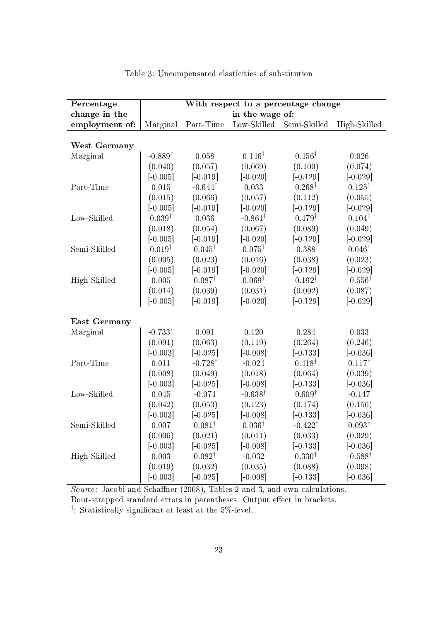| Percentage     | With respect to a percentage change |                    |                             |                    |                    |
|----------------|-------------------------------------|--------------------|-----------------------------|--------------------|--------------------|
| change in the  | in the wage of:                     |                    |                             |                    |                    |
| employment of: | Marginal                            | Part-Time          | $_{\rm Low\text{-}Skilled}$ | Semi-Skilled       | High-Skilled       |
|                |                                     |                    |                             |                    |                    |
| West Germany   |                                     |                    |                             |                    |                    |
| Marginal       | $-0.889^{\dagger}$                  | 0.058              | $0.146^{\dagger}$           | $0.456^{\dagger}$  | 0.026              |
|                | (0.040)                             | (0.057)            | (0.069)                     | (0.100)            | (0.074)            |
|                | $[-0.005]$                          | $[-0.019]$         | $[-0.020]$                  | $[-0.129]$         | $[-0.029]$         |
| Part-Time      | 0.015                               | $-0.644^{\dagger}$ | 0.033                       | $0.268^{\dagger}$  | $0.125^{\dagger}$  |
|                | (0.015)                             | (0.066)            | (0.057)                     | (0.112)            | (0.055)            |
|                | $[-0.005]$                          | $[-0.019]$         | $[-0.020]$                  | $[-0.129]$         | $[-0.029]$         |
| Low-Skilled    | $0.039^{\dagger}$                   | 0.036              | $-0.861^{\dagger}$          | $0.479^{\dagger}$  | $0.104^{\dagger}$  |
|                | (0.018)                             | (0.054)            | (0.067)                     | (0.089)            | (0.049)            |
|                | $[-0.005]$                          | $[-0.019]$         | $[-0.020]$                  | $[-0.129]$         | $[-0.029]$         |
| Semi-Skilled   | $0.019^{\dagger}$                   | $0.045^{\dagger}$  | $0.075^{\dagger}$           | $-0.388^{\dagger}$ | $0.046^{\dagger}$  |
|                | (0.005)                             | (0.023)            | (0.016)                     | (0.038)            | (0.023)            |
|                | $[-0.005]$                          | $[-0.019]$         | $[-0.020]$                  | $[-0.129]$         | $[-0.029]$         |
| High-Skilled   | 0.005                               | $0.087^{\dagger}$  | $0.069^{\dagger}$           | $0.192^{\dagger}$  | $-0.556^{\dagger}$ |
|                | (0.014)                             | (0.039)            | (0.031)                     | (0.092)            | (0.087)            |
|                | $[-0.005]$                          | $[-0.019]$         | $[-0.020]$                  | $[-0.129]$         | $[-0.029]$         |
|                |                                     |                    |                             |                    |                    |
| East Germany   |                                     |                    |                             |                    |                    |
| Marginal       | $-0.733^{\dagger}$                  | 0.091              | 0.120                       | 0.284              | 0.033              |
|                | (0.091)                             | (0.063)            | (0.119)                     | (0.264)            | (0.246)            |
|                | $[-0.003]$                          | $[-0.025]$         | $[-0.008]$                  | $[-0.133]$         | $[-0.036]$         |
| Part Time      | 0.011                               | $-0.728^{\dagger}$ | $-0.024$                    | $0.418^{\dagger}$  | $0.117^{\dagger}$  |
|                | (0.008)                             | (0.049)            | (0.018)                     | (0.064)            | (0.039)            |
|                | $[-0.003]$                          | $[-0.025]$         | $[-0.008]$                  | $[-0.133]$         | $[-0.036]$         |
| Low-Skilled    | 0.045                               | $-0.074$           | $-0.638^{\dagger}$          | $0.609^{\dagger}$  | $-0.147$           |
|                | (0.042)                             | (0.053)            | (0.123)                     | (0.174)            | (0.156)            |
|                | $[-0.003]$                          | $[-0.025]$         | $[-0.008]$                  | $[-0.133]$         | $[-0.036]$         |
| Semi-Skilled   | 0.007                               | $0.081^{\dagger}$  | $0.036^{\dagger}$           | $-0.422^{\dagger}$ | $0.093^{\dagger}$  |
|                | (0.006)                             | (0.021)            | (0.011)                     | (0.033)            | (0.029)            |
|                | $[-0.003]$                          | $[-0.025]$         | $[-0.008]$                  | $[-0.133]$         | $[-0.036]$         |
| High-Skilled   | 0.003                               | $0.082^{\dagger}$  | $-0.032$                    | 0.330 <sup>†</sup> | $-0.588^{\dagger}$ |
|                | (0.019)                             | (0.032)            | (0.035)                     | (0.088)            | (0.098)            |
|                | $[-0.003]$                          | $[-0.025]$         | $[-0.008]$                  | $[-0.133]$         | $[-0.036]$         |

Table 3: Uncompensated elasticities of substitution

Source: Jacobi and Schaffner (2008), Tables 2 and 3, and own calculations. Boot-strapped standard errors in parentheses. Output effect in brackets.

<sup>†</sup>: Statistically significant at least at the 5%-level.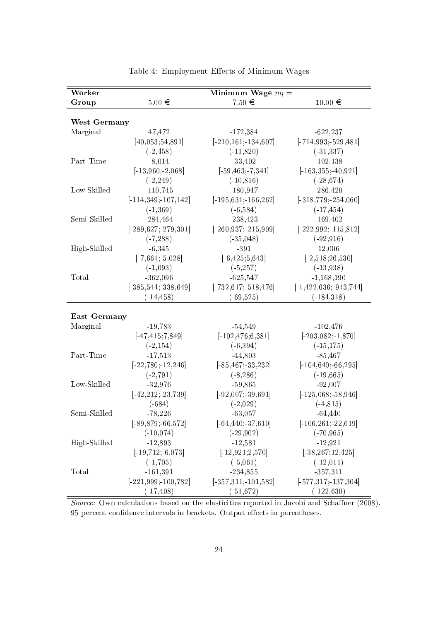| Worker       |                          | Minimum Wage $m_l =$     |                             |
|--------------|--------------------------|--------------------------|-----------------------------|
| Group        | $5.00\in$                | $7.50 \in$               | $10.00 \in$                 |
|              |                          |                          |                             |
| West Germany |                          |                          |                             |
| Marginal     | 47,472                   | $-172,384$               | $-622,237$                  |
|              | [40, 053; 54, 891]       | $[-210, 161, -134, 607]$ | $[-714, 993, -529, 481]$    |
|              | $(-2, 458)$              | $(-11, 820)$             | $(-31, 337)$                |
| Part-Time    | $-8,014$                 | $-33,402$                | $-102,138$                  |
|              | $[-13,960,-2,068]$       | $[-59, 463, -7, 341]$    | $[-163, 355, -40, 921]$     |
|              | $(-2, 249)$              | $(-10, 816)$             | $(-28, 674)$                |
| Low-Skilled  | $-110,745$               | $-180,947$               | $-286,420$                  |
|              | $[-114, 349, 107, 142]$  | $[-195, 631, -166, 262]$ | $[-318, 779; -254, 060]$    |
|              | $(-1, 369)$              | $(-6, 584)$              | $(-17, 454)$                |
| Semi-Skilled | $-284, 464$              | $-238,423$               | $-169,402$                  |
|              | $[-289, 627, -279, 301]$ | $[-260, 937, -215, 909]$ | $[-222, 992, -115, 812]$    |
|              | $(-7, 288)$              | $(-35,048)$              | $(-92, 916)$                |
| High-Skilled | $-6,345$                 | $-391$                   | 12,006                      |
|              | $[-7,661; -5,028]$       | $[-6, 425; 5, 643]$      | $[-2,518;26,530]$           |
|              | $(-1,093)$               | $(-5, 257)$              | $(-13,938)$                 |
| Total        | $-362,096$               | $-625,547$               | $-1,168,190$                |
|              | $[-385, 544, -338, 649]$ | $[-732, 617, -518, 476]$ | $[-1, 422, 636, -913, 744]$ |
|              | $(-14, 458)$             | $(-69, 525)$             | (.184,318)                  |
|              |                          |                          |                             |
| East Germany |                          |                          |                             |
| Marginal     | $-19,783$                | $-54,549$                | $-102,476$                  |
|              | $[-47, 415; 7, 849]$     | $[-102, 476, 6, 381]$    | $[-203, 082, -1, 870]$      |
|              | $(-2, 154)$              | $(-6, 394)$              | $(-15, 175)$                |
| Part-Time    | $-17,513$                | $-44,803$                | $-85,467$                   |
|              | $[-22, 780; -12, 246]$   | $[-85, 467; -33, 232]$   | $[-104, 640; -66, 295]$     |
|              | $(-2, 791)$              | $(-8, 286)$              | $(-19, 665)$                |
| Low-Skilled  | $-32,976$                | $-59,865$                | $-92,007$                   |
|              | $[-42, 212; -23, 739]$   | $[-92,007; -39,691]$     | $[-125, 068; -58, 946]$     |
|              | $(-684)$                 | $(-2,029)$               | $(-4, 815)$                 |
| Semi-Skilled | $-78,226$                | $-63,057$                | $-64,440$                   |
|              | $[-89, 879, -66, 572]$   | $[-64, 440, -37, 610]$   | $[-106, 261, -22, 619]$     |
|              | $(-10,074)$              | $(-29, 902)$             | $(-70, 965)$                |
| High-Skilled | $-12,893$                | $-12,581$                | $-12,921$                   |
|              | $[-19, 712, -6, 073]$    | $[-12, 921; 2, 570]$     | $[-38, 267; 12, 425]$       |
|              | $(-1, 705)$              | $(-5,061)$               | $(-12, 011)$                |
| Total        | $-161,391$               | $-234,855$               | $-357,311$                  |
|              | $[-221, 999, -100, 782]$ | $[-357, 311, -101, 582]$ | $[-577, 317, -137, 304]$    |
|              | $(-17, 408)$             | $(-51, 672)$             | $(-122, 630)$               |

Table 4: Employment Effects of Minimum Wages

Source: Own calculations based on the elasticities reported in Jacobi and Schaffner (2008). 95 percent confidence intervals in brackets. Output effects in parentheses.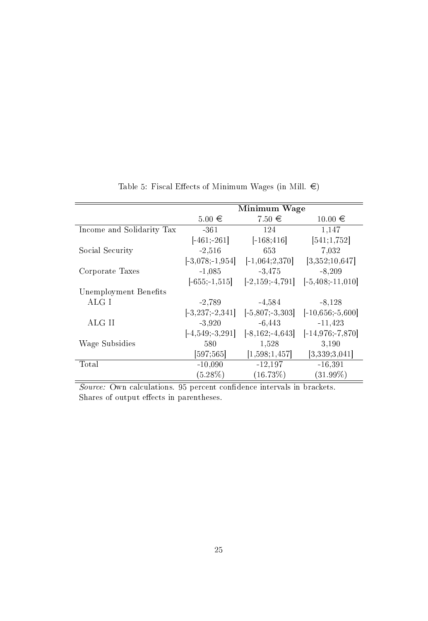|                           |                      | Minimum Wage         |                       |
|---------------------------|----------------------|----------------------|-----------------------|
|                           | $5.00 \in$           | $7.50 \in$           | $10.00 \in$           |
| Income and Solidarity Tax | -361                 | 124                  | 1.147                 |
|                           | $[-461, 261]$        | $[-168; 416]$        | [541; 1, 752]         |
| Social Security           | $-2,516$             | 653                  | 7,032                 |
|                           | $[-3,078; -1,954]$   | $[-1,064;2,370]$     | [3,352;10,647]        |
| Corporate Taxes           | $-1,085$             | $-3,475$             | $-8,209$              |
|                           | $[-655; -1, 515]$    | $[-2, 159, -4, 791]$ | $[-5, 408; -11, 010]$ |
| Unemployment Benefits     |                      |                      |                       |
| ALG I                     | $-2,789$             | $-4.584$             | $-8,128$              |
|                           | $[-3, 237, 2, 341]$  | $[-5,807; -3,303]$   | $[-10,656; -5,600]$   |
| ALG II                    | $-3.920$             | $-6,443$             | $-11,423$             |
|                           | $[-4, 549, -3, 291]$ | $[-8, 162, -4, 643]$ | $[-14, 976, 7, 870]$  |
| Wage Subsidies            | 580                  | 1.528                | 3,190                 |
|                           | [597;565]            | [1,598;1,457]        | [3,339;3,041]         |
| Total                     | $-10,090$            | $-12,197$            | $-16,391$             |
|                           | $(5.28\%)$           | (16.73%)             | $(31.99\%)$           |

Table 5: Fiscal Effects of Minimum Wages (in Mill.  $\epsilon$ )

Source: Own calculations. 95 percent confidence intervals in brackets. Shares of output effects in parentheses.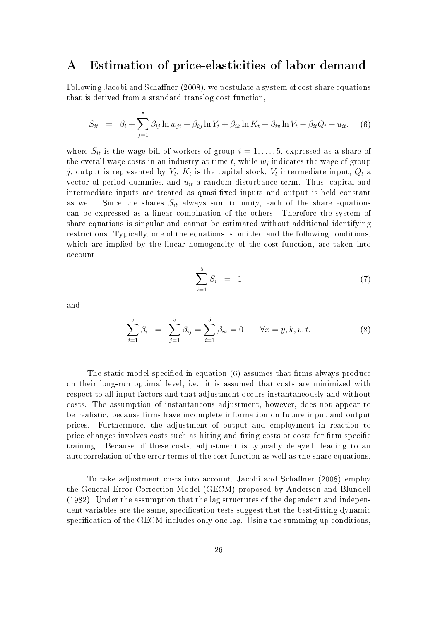#### Estimation of price-elasticities of labor demand  $\mathbf{A}$

Following Jacobi and Schaffner (2008), we postulate a system of cost share equations that is derived from a standard translog cost function,

$$
S_{it} = \beta_i + \sum_{j=1}^{5} \beta_{ij} \ln w_{jt} + \beta_{iy} \ln Y_t + \beta_{ik} \ln K_t + \beta_{iv} \ln V_t + \beta_{it} Q_t + u_{it}, \quad (6)
$$

where  $S_{it}$  is the wage bill of workers of group  $i = 1, \ldots, 5$ , expressed as a share of the overall wage costs in an industry at time t, while  $w_i$  indicates the wage of group j, output is represented by  $Y_t$ ,  $K_t$  is the capital stock,  $V_t$  intermediate input,  $Q_t$  a vector of period dummies, and  $u_{it}$  a random disturbance term. Thus, capital and intermediate inputs are treated as quasi-fixed inputs and output is held constant as well. Since the shares  $S_{it}$  always sum to unity, each of the share equations can be expressed as a linear combination of the others. Therefore the system of share equations is singular and cannot be estimated without additional identifying restrictions. Typically, one of the equations is omitted and the following conditions, which are implied by the linear homogeneity of the cost function, are taken into account:

$$
\sum_{i=1}^{5} S_i = 1 \tag{7}
$$

and

$$
\sum_{i=1}^{5} \beta_i = \sum_{j=1}^{5} \beta_{ij} = \sum_{i=1}^{5} \beta_{ix} = 0 \qquad \forall x = y, k, v, t.
$$
 (8)

The static model specified in equation (6) assumes that firms always produce on their long-run optimal level, i.e. it is assumed that costs are minimized with respect to all input factors and that adjustment occurs instantaneously and without costs. The assumption of instantaneous adjustment, however, does not appear to be realistic, because firms have incomplete information on future input and output prices. Furthermore, the adjustment of output and employment in reaction to price changes involves costs such as hiring and firing costs or costs for firm-specific training. Because of these costs, adjustment is typically delayed, leading to an autocorrelation of the error terms of the cost function as well as the share equations.

To take adjustment costs into account, Jacobi and Schaffner (2008) employ the General Error Correction Model (GECM) proposed by Anderson and Blundell (1982). Under the assumption that the lag structures of the dependent and independent variables are the same, specification tests suggest that the best-fitting dynamic specification of the GECM includes only one lag. Using the summing-up conditions,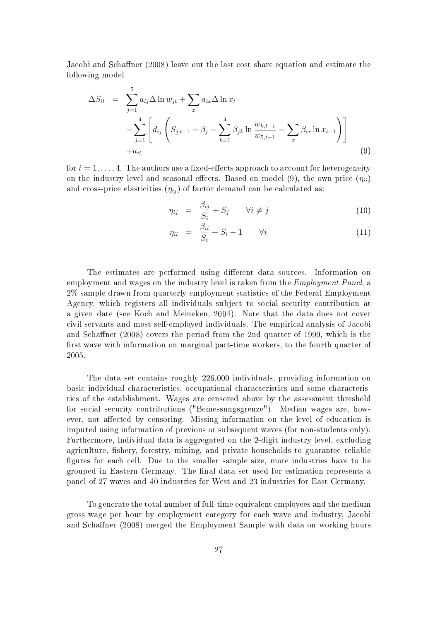Jacobi and Schaffner (2008) leave out the last cost share equation and estimate the following model

$$
\Delta S_{it} = \sum_{j=1}^{5} a_{ij} \Delta \ln w_{jt} + \sum_{x} a_{ix} \Delta \ln x_t
$$
  
-
$$
\sum_{j=1}^{4} \left[ d_{ij} \left( S_{j,t-1} - \beta_j - \sum_{k=1}^{4} \beta_{jk} \ln \frac{w_{k,t-1}}{w_{5,t-1}} - \sum_{x} \beta_{ix} \ln x_{t-1} \right) \right]
$$
  
+
$$
u_{it}
$$
(9)

for  $i=1,\ldots,4$  . The authors use a fixed-effects approach to account for heterogeneity on the industry level and seasonal effects. Based on model (9), the own-price  $(\eta_{ii})$ and cross-price elasticities  $(\eta_{ij})$  of factor demand can be calculated as:

$$
\eta_{ij} = \frac{\beta_{ij}}{S_i} + S_j \qquad \forall i \neq j \tag{10}
$$

$$
\eta_{ii} = \frac{\beta_{ii}}{S_i} + S_i - 1 \qquad \forall i \tag{11}
$$

The estimates are performed using different data sources. Information on employment and wages on the industry level is taken from the *Employment Panel*, a 2% sample drawn from quarterly employment statistics of the Federal Employment Agency, which registers all individuals subject to social security contribution at a given date (see Koch and Meineken, 2004). Note that the data does not cover civil servants and most self-employed individuals. The empirical analysis of Jacobi and Schaffner (2008) covers the period from the 2nd quarter of 1999, which is the first wave with information on marginal part-time workers, to the fourth quarter of 2005.

The data set contains roughly 226,000 individuals, providing information on basic individual characteristics, occupational characteristics and some characteristics of the establishment. Wages are censored above by the assessment threshold for social security contributions ("Bemessungsgrenze"). Median wages are, however, not affected by censoring. Missing information on the level of education is imputed using information of previous or subsequent waves (for non-students only). Furthermore, individual data is aggregated on the 2-digit industry level, excluding agriculture, fishery, forestry, mining, and private households to guarantee reliable figures for each cell. Due to the smaller sample size, more industries have to be grouped in Eastern Germany. The final data set used for estimation represents a panel of 27 waves and 40 industries for West and 23 industries for East Germany.

To generate the total number of full-time equivalent employees and the medium gross wage per hour by employment category for each wave and industry, Jacobi and Schaffner (2008) merged the Employment Sample with data on working hours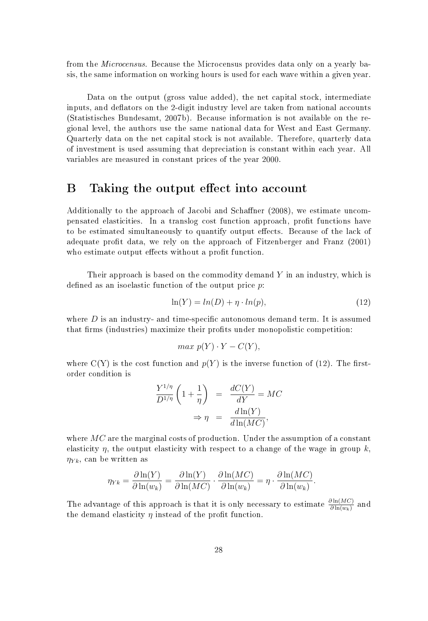from the Microcensus. Because the Microcensus provides data only on a yearly basis, the same information on working hours is used for each wave within a given year.

Data on the output (gross value added), the net capital stock, intermediate inputs, and deflators on the 2-digit industry level are taken from national accounts (Statistisches Bundesamt, 2007b). Because information is not available on the regional level, the authors use the same national data for West and East Germany. Quarterly data on the net capital stock is not available. Therefore, quarterly data of investment is used assuming that depreciation is constant within each year. All variables are measured in constant prices of the year 2000.

#### Β Taking the output effect into account

Additionally to the approach of Jacobi and Schaffner (2008), we estimate uncompensated elasticities. In a translog cost function approach, profit functions have to be estimated simultaneously to quantify output effects. Because of the lack of adequate profit data, we rely on the approach of Fitzenberger and Franz (2001) who estimate output effects without a profit function.

Their approach is based on the commodity demand  $Y$  in an industry, which is defined as an isoelastic function of the output price  $p$ .

$$
\ln(Y) = \ln(D) + \eta \cdot \ln(p),\tag{12}
$$

where  $D$  is an industry- and time-specific autonomous demand term. It is assumed that firms (industries) maximize their profits under monopolistic competition:

$$
max p(Y) \cdot Y - C(Y),
$$

where  $C(Y)$  is the cost function and  $p(Y)$  is the inverse function of (12). The firstorder condition is

$$
\frac{Y^{1/\eta}}{D^{1/\eta}} \left(1 + \frac{1}{\eta}\right) = \frac{dC(Y)}{dY} = MC
$$

$$
\Rightarrow \eta = \frac{d\ln(Y)}{d\ln(MC)},
$$

where  $MC$  are the marginal costs of production. Under the assumption of a constant elasticity  $\eta$ , the output elasticity with respect to a change of the wage in group k,  $\eta_{Yk}$ , can be written as

$$
\eta_{Yk} = \frac{\partial \ln(Y)}{\partial \ln(w_k)} = \frac{\partial \ln(Y)}{\partial \ln(MC)} \cdot \frac{\partial \ln(MC)}{\partial \ln(w_k)} = \eta \cdot \frac{\partial \ln(MC)}{\partial \ln(w_k)}.
$$

The advantage of this approach is that it is only necessary to estimate  $\frac{\partial \ln(MC)}{\partial \ln(w_k)}$  and the demand elasticity  $\eta$  instead of the profit function.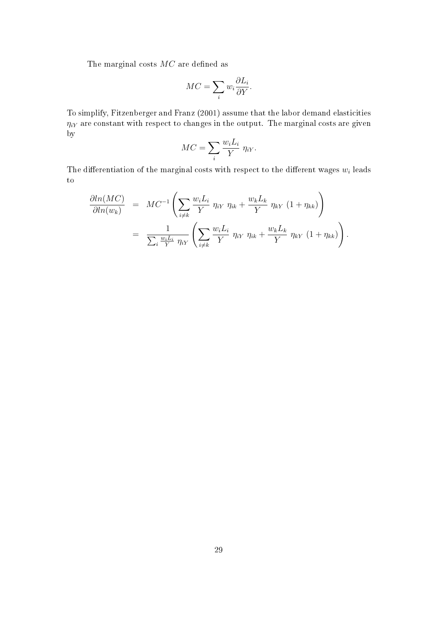The marginal costs  $MC$  are defined as

$$
MC = \sum_{i} w_i \frac{\partial L_i}{\partial Y}.
$$

To simplify, Fitzenberger and Franz (2001) assume that the labor demand elasticities  $\eta_{iY}$  are constant with respect to changes in the output. The marginal costs are given by

$$
MC = \sum_{i} \frac{w_i L_i}{Y} \eta_{iY}.
$$

The differentiation of the marginal costs with respect to the different wages  $w_i$  leads  $\rm{to}$ 

$$
\frac{\partial \ln(MC)}{\partial \ln(w_k)} = MC^{-1} \left( \sum_{i \neq k} \frac{w_i L_i}{Y} \eta_{iY} \eta_{ik} + \frac{w_k L_k}{Y} \eta_{kY} (1 + \eta_{kk}) \right)
$$

$$
= \frac{1}{\sum_{i} \frac{w_i L_i}{Y} \eta_{iY}} \left( \sum_{i \neq k} \frac{w_i L_i}{Y} \eta_{iY} \eta_{ik} + \frac{w_k L_k}{Y} \eta_{kY} (1 + \eta_{kk}) \right).
$$